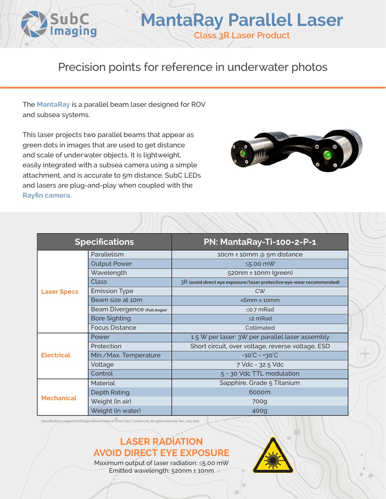

Precision points for reference in underwater photos

The **[MantaRay](https://www.subcimaging.com/mantaray)** is a parallel beam laser designed for ROV and subsea systems.

This laser projects two parallel beams that appear as green dots in images that are used to get distance and scale of underwater objects. It is lightweight, easily integrated with a subsea camera using a simple attachment, and is accurate to 5m distance. SubC LEDs and lasers are plug-and-play when coupled with the **[Rayfin camera](https://www.subcimaging.com/cameras)**.



| <b>Specifications</b> |                              | PN: MantaRay-Ti-100-2-P-1                                            |
|-----------------------|------------------------------|----------------------------------------------------------------------|
| <b>Laser Specs</b>    | Parallelism                  | 10cm ± 10mm @ 5m distance                                            |
|                       | <b>Output Power</b>          | $\leq$ 5.00 mW                                                       |
|                       | Wavelength                   | 520nm ± 10nm (green)                                                 |
|                       | <b>Class</b>                 | 3R (avoid direct eye exposure/laser protective eye-wear recommended) |
|                       | <b>Emission Type</b>         | <b>CW</b>                                                            |
|                       | Beam size at 10m             | $<$ 6mm $\times$ 10mm                                                |
|                       | Beam Divergence (Full Angle) | $\leq$ 0.7 mRad                                                      |
|                       | <b>Bore Sighting</b>         | $\leq$ mRad                                                          |
|                       | <b>Focus Distance</b>        | Collimated                                                           |
| <b>Electrical</b>     | Power                        | 1.5 W per laser: 3W per parallel laser assembly                      |
|                       | Protection                   | Short circuit, over voltage, reverse voltage, ESD                    |
|                       | Min./Max. Temperature        | $-10^{\circ}$ C - +30 $^{\circ}$ C                                   |
|                       | Voltage                      | 7 Vdc - 32.5 Vdc                                                     |
|                       | Control                      | 5 - 30 Vdc TTL modulation                                            |
| <b>Mechanical</b>     | <b>Material</b>              | Sapphire, Grade 5 Titanium                                           |
|                       | <b>Depth Rating</b>          | 6000m                                                                |
|                       | Weight (in air)              | 700g                                                                 |
|                       | Weight (in water)            | 400g                                                                 |

Specifications subject to change without notice.© 2010 SubC Control Ltd. All rights reserved. Rev. July 2021

## **LASER RADIATION AVOID DIRECT EYE EXPOSURE**

Maximum output of laser radiation: ≤5.00 mW Emitted wavelength: 520nm ± 10nm